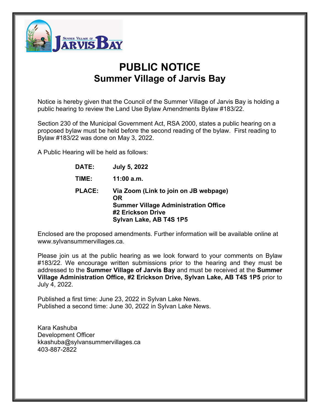

# **PUBLIC NOTICE Summer Village of Jarvis Bay**

Notice is hereby given that the Council of the Summer Village of Jarvis Bay is holding a public hearing to review the Land Use Bylaw Amendments Bylaw #183/22.

Section 230 of the Municipal Government Act, RSA 2000, states a public hearing on a proposed bylaw must be held before the second reading of the bylaw. First reading to Bylaw #183/22 was done on May 3, 2022.

A Public Hearing will be held as follows:

| DATE:         | <b>July 5, 2022</b>                                |
|---------------|----------------------------------------------------|
| TIME:         | $11:00$ a.m.                                       |
| <b>PLACE:</b> | Via Zoom (Link to join on JB webpage)<br><b>OR</b> |
|               | <b>Summer Village Administration Office</b>        |
|               | #2 Erickson Drive                                  |
|               | Sylvan Lake, AB T4S 1P5                            |

Enclosed are the proposed amendments. Further information will be available online at www.sylvansummervillages.ca.

Please join us at the public hearing as we look forward to your comments on Bylaw #183/22. We encourage written submissions prior to the hearing and they must be addressed to the **Summer Village of Jarvis Bay** and must be received at the **Summer Village Administration Office, #2 Erickson Drive, Sylvan Lake, AB T4S 1P5** prior to July 4, 2022.

Published a first time: June 23, 2022 in Sylvan Lake News. Published a second time: June 30, 2022 in Sylvan Lake News.

Kara Kashuba Development Officer kkashuba@sylvansummervillages.ca 403-887-2822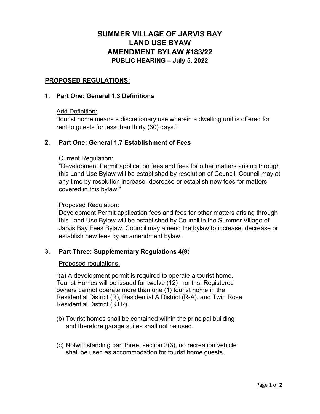# **SUMMER VILLAGE OF JARVIS BAY LAND USE BYAW AMENDMENT BYLAW #183/22 PUBLIC HEARING – July 5, 2022**

# **PROPOSED REGULATIONS:**

#### **1. Part One: General 1.3 Definitions**

#### Add Definition:

"tourist home means a discretionary use wherein a dwelling unit is offered for rent to guests for less than thirty (30) days."

# **2. Part One: General 1.7 Establishment of Fees**

#### Current Regulation:

"Development Permit application fees and fees for other matters arising through this Land Use Bylaw will be established by resolution of Council. Council may at any time by resolution increase, decrease or establish new fees for matters covered in this bylaw."

#### Proposed Regulation:

Development Permit application fees and fees for other matters arising through this Land Use Bylaw will be established by Council in the Summer Village of Jarvis Bay Fees Bylaw. Council may amend the bylaw to increase, decrease or establish new fees by an amendment bylaw.

# **3. Part Three: Supplementary Regulations 4(8**)

#### Proposed regulations:

"(a) A development permit is required to operate a tourist home. Tourist Homes will be issued for twelve (12) months. Registered owners cannot operate more than one (1) tourist home in the Residential District (R), Residential A District (R-A), and Twin Rose Residential District (RTR).

- (b) Tourist homes shall be contained within the principal building and therefore garage suites shall not be used.
- (c) Notwithstanding part three, section 2(3), no recreation vehicle shall be used as accommodation for tourist home guests.